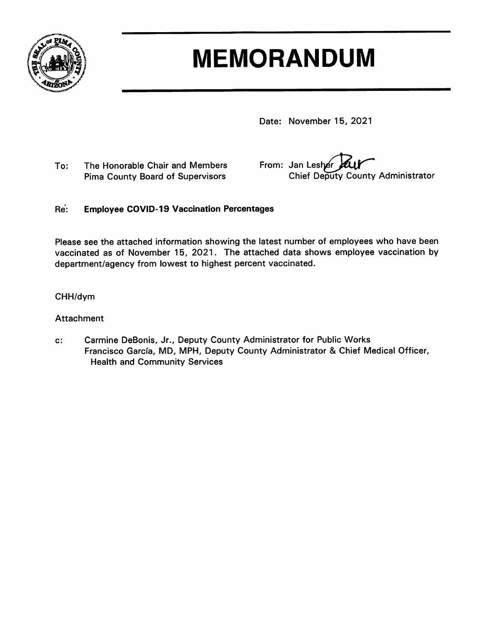

# **MEMORANDUM**

Date: November 15, 2021

The Honorable Chair and Members To: **Pima County Board of Supervisors** 

From: Jan Lesher Chief Deputy County Administrator

#### Re: **Employee COVID-19 Vaccination Percentages**

Please see the attached information showing the latest number of employees who have been vaccinated as of November 15, 2021. The attached data shows employee vaccination by department/agency from lowest to highest percent vaccinated.

### CHH/dym

#### **Attachment**

Carmine DeBonis, Jr., Deputy County Administrator for Public Works c: Francisco García, MD, MPH, Deputy County Administrator & Chief Medical Officer, **Health and Community Services**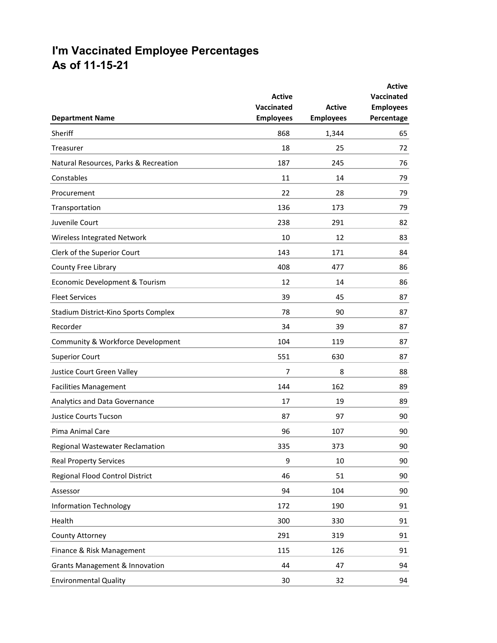## **I'm Vaccinated Employee Percentages As of 11-15-21**

| <b>Department Name</b>                    | <b>Active</b><br>Vaccinated<br><b>Employees</b> | <b>Active</b><br><b>Employees</b> | <b>Active</b><br><b>Vaccinated</b><br><b>Employees</b><br>Percentage |
|-------------------------------------------|-------------------------------------------------|-----------------------------------|----------------------------------------------------------------------|
| Sheriff                                   | 868                                             | 1,344                             | 65                                                                   |
| Treasurer                                 | 18                                              | 25                                | 72                                                                   |
| Natural Resources, Parks & Recreation     | 187                                             | 245                               | 76                                                                   |
| Constables                                | 11                                              | 14                                | 79                                                                   |
| Procurement                               | 22                                              | 28                                | 79                                                                   |
| Transportation                            | 136                                             | 173                               | 79                                                                   |
| Juvenile Court                            | 238                                             | 291                               | 82                                                                   |
| Wireless Integrated Network               | 10                                              | 12                                | 83                                                                   |
| Clerk of the Superior Court               | 143                                             | 171                               | 84                                                                   |
| County Free Library                       | 408                                             | 477                               | 86                                                                   |
| Economic Development & Tourism            | 12                                              | 14                                | 86                                                                   |
| <b>Fleet Services</b>                     | 39                                              | 45                                | 87                                                                   |
| Stadium District-Kino Sports Complex      | 78                                              | 90                                | 87                                                                   |
| Recorder                                  | 34                                              | 39                                | 87                                                                   |
| Community & Workforce Development         | 104                                             | 119                               | 87                                                                   |
| <b>Superior Court</b>                     | 551                                             | 630                               | 87                                                                   |
| Justice Court Green Valley                | 7                                               | 8                                 | 88                                                                   |
| <b>Facilities Management</b>              | 144                                             | 162                               | 89                                                                   |
| Analytics and Data Governance             | 17                                              | 19                                | 89                                                                   |
| <b>Justice Courts Tucson</b>              | 87                                              | 97                                | 90                                                                   |
| Pima Animal Care                          | 96                                              | 107                               | 90                                                                   |
| Regional Wastewater Reclamation           | 335                                             | 373                               | 90                                                                   |
| <b>Real Property Services</b>             | 9                                               | 10                                | 90                                                                   |
| Regional Flood Control District           | 46                                              | 51                                | 90                                                                   |
| Assessor                                  | 94                                              | 104                               | 90                                                                   |
| <b>Information Technology</b>             | 172                                             | 190                               | 91                                                                   |
| Health                                    | 300                                             | 330                               | 91                                                                   |
| County Attorney                           | 291                                             | 319                               | 91                                                                   |
| Finance & Risk Management                 | 115                                             | 126                               | 91                                                                   |
| <b>Grants Management &amp; Innovation</b> | 44                                              | 47                                | 94                                                                   |
| <b>Environmental Quality</b>              | 30                                              | 32                                | 94                                                                   |